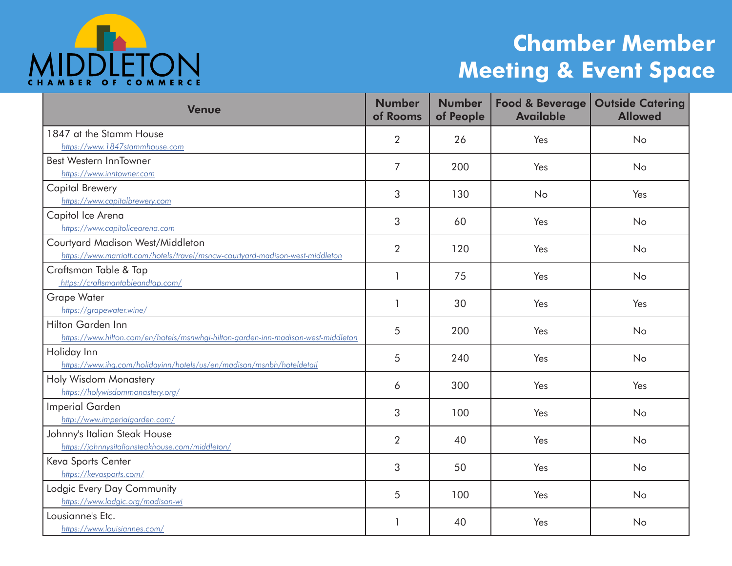

## **Chamber Member Meeting & Event Space**

| <b>Venue</b>                                                                                                      | <b>Number</b><br>of Rooms | <b>Number</b><br>of People | <b>Food &amp; Beverage</b><br><b>Available</b> | <b>Outside Catering</b><br><b>Allowed</b> |
|-------------------------------------------------------------------------------------------------------------------|---------------------------|----------------------------|------------------------------------------------|-------------------------------------------|
| 1847 at the Stamm House<br>https://www.1847stammhouse.com                                                         | $\overline{2}$            | 26                         | Yes                                            | No                                        |
| <b>Best Western InnTowner</b><br>https://www.inntowner.com                                                        | 7                         | 200                        | Yes                                            | <b>No</b>                                 |
| <b>Capital Brewery</b><br>https://www.capitalbrewery.com                                                          | 3                         | 130                        | No                                             | Yes                                       |
| Capitol Ice Arena<br>https://www.capitolicearena.com                                                              | 3                         | 60                         | Yes                                            | <b>No</b>                                 |
| Courtyard Madison West/Middleton<br>https://www.marriott.com/hotels/travel/msncw-courtyard-madison-west-middleton | $\overline{2}$            | 120                        | Yes                                            | No                                        |
| Craftsman Table & Tap<br>https://craftsmantableandtap.com/                                                        | 1                         | 75                         | Yes                                            | <b>No</b>                                 |
| <b>Grape Water</b><br>https://grapewater.wine/                                                                    |                           | 30                         | Yes                                            | Yes                                       |
| Hilton Garden Inn<br>https://www.hilton.com/en/hotels/msnwhgi-hilton-garden-inn-madison-west-middleton            | 5                         | 200                        | Yes                                            | No                                        |
| Holiday Inn<br>https://www.ihg.com/holidayinn/hotels/us/en/madison/msnbh/hoteldetail                              | 5                         | 240                        | Yes                                            | No                                        |
| Holy Wisdom Monastery<br>https://holywisdommonastery.org/                                                         | 6                         | 300                        | Yes                                            | Yes                                       |
| <b>Imperial Garden</b><br>http://www.imperialgarden.com/                                                          | 3                         | 100                        | Yes                                            | No                                        |
| Johnny's Italian Steak House<br>https://johnnysitaliansteakhouse.com/middleton/                                   | $\overline{2}$            | 40                         | Yes                                            | No                                        |
| Keva Sports Center<br>https://kevasports.com/                                                                     | 3                         | 50                         | Yes                                            | No                                        |
| Lodgic Every Day Community<br>https://www.lodgic.org/madison-wi                                                   | 5                         | 100                        | Yes                                            | <b>No</b>                                 |
| Lousianne's Etc.<br>https://www.louisiannes.com/                                                                  |                           | 40                         | Yes                                            | <b>No</b>                                 |